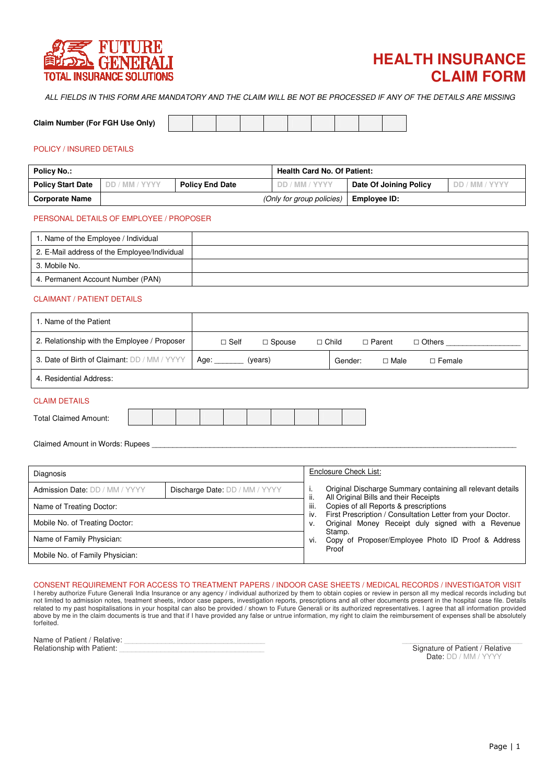



ALL FIELDS IN THIS FORM ARE MANDATORY AND THE CLAIM WILL BE NOT BE PROCESSED IF ANY OF THE DETAILS ARE MISSING

| Claim Number (For FGH Use Only) |  |  |
|---------------------------------|--|--|

# POLICY / INSURED DETAILS

| <b>Policy No.:</b>       |                |                        | <b>Health Card No. Of Patient:</b> |                        |                |  |  |  |  |
|--------------------------|----------------|------------------------|------------------------------------|------------------------|----------------|--|--|--|--|
| <b>Policy Start Date</b> | DD / MM / YYYY | <b>Policy End Date</b> | DD / MM / YYYY                     | Date Of Joining Policy | DD / MM / YYYY |  |  |  |  |
| <b>Corporate Name</b>    |                |                        | (Only for group policies)          | Employee ID:           |                |  |  |  |  |

## PERSONAL DETAILS OF EMPLOYEE / PROPOSER

| 1. Name of the Employee / Individual         |  |
|----------------------------------------------|--|
| 2. E-Mail address of the Employee/Individual |  |
| 3. Mobile No.                                |  |
| 4. Permanent Account Number (PAN)            |  |

#### CLAIMANT / PATIENT DETAILS

| 1. Name of the Patient                       |             |               |              |         |             |               |  |  |
|----------------------------------------------|-------------|---------------|--------------|---------|-------------|---------------|--|--|
| 2. Relationship with the Employee / Proposer | $\Box$ Self | $\Box$ Spouse | $\Box$ Child |         | □ Parent    | $\Box$ Others |  |  |
| 3. Date of Birth of Claimant: DD / MM / YYYY | Age:        | (years)       |              | Gender: | $\Box$ Male | $\Box$ Female |  |  |
| 4. Residential Address:                      |             |               |              |         |             |               |  |  |
| <b>CLAIM DETAILS</b>                         |             |               |              |         |             |               |  |  |

| <b>Total Claimed Amount:</b> |  |  |  |  |  |
|------------------------------|--|--|--|--|--|
|                              |  |  |  |  |  |

Claimed Amount in Words: Rupees

| Diagnosis                       |                                |                    | Enclosure Check List:                                                                               |
|---------------------------------|--------------------------------|--------------------|-----------------------------------------------------------------------------------------------------|
| Admission Date: DD / MM / YYYY  | Discharge Date: DD / MM / YYYY |                    | Original Discharge Summary containing all relevant details<br>All Original Bills and their Receipts |
| Name of Treating Doctor:        |                                | ii.<br>iii.<br>İV. | Copies of all Reports & prescriptions<br>First Prescription / Consultation Letter from your Doctor. |
| Mobile No. of Treating Doctor:  |                                |                    | Original Money Receipt duly signed with a Revenue                                                   |
| Name of Family Physician:       |                                |                    | Stamp.<br>Copy of Proposer/Employee Photo ID Proof & Address                                        |
| Mobile No. of Family Physician: |                                |                    | Proof                                                                                               |

# CONSENT REQUIREMENT FOR ACCESS TO TREATMENT PAPERS / INDOOR CASE SHEETS / MEDICAL RECORDS / INVESTIGATOR VISIT

I hereby authorize Future Generali India Insurance or any agency / individual authorized by them to obtain copies or review in person all my medical records including but not limited to admission notes, treatment sheets, indoor case papers, investigation reports, prescriptions and all other documents present in the hospital case file. Details related to my past hospitalisations in your hospital can also be provided / shown to Future Generali or its authorized representatives. I agree that all information provided above by me in the claim documents is true and that if I have provided any false or untrue information, my right to claim the reimbursement of expenses shall be absolutely forfeited.

| Name of Patient / Relative:       |                                 |
|-----------------------------------|---------------------------------|
| <b>Relationship with Patient:</b> | Signature of Patient / Relative |

Signature of Patient / Relative Date: DD / MM / YYYY